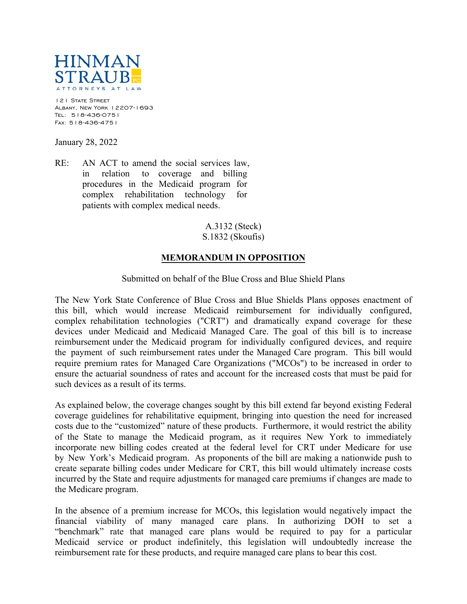

121 STATE STREET Albany, New York 12207-1693 Tel: 518-436-0751 Fax: 518-436-4751

January 28, 2022

RE: AN ACT to amend the social services law, in relation to coverage and billing procedures in the Medicaid program for complex rehabilitation technology for patients with complex medical needs.

> A.3132 (Steck) S.1832 (Skoufis)

## **MEMORANDUM IN OPPOSITION**

## Submitted on behalf of the Blue Cross and Blue Shield Plans

The New York State Conference of Blue Cross and Blue Shields Plans opposes enactment of this bill, which would increase Medicaid reimbursement for individually configured, complex rehabilitation technologies ("CRT") and dramatically expand coverage for these devices under Medicaid and Medicaid Managed Care. The goal of this bill is to increase reimbursement under the Medicaid program for individually configured devices, and require the payment of such reimbursement rates under the Managed Care program. This bill would require premium rates for Managed Care Organizations ("MCOs") to be increased in order to ensure the actuarial soundness of rates and account for the increased costs that must be paid for such devices as a result of its terms.

As explained below, the coverage changes sought by this bill extend far beyond existing Federal coverage guidelines for rehabilitative equipment, bringing into question the need for increased costs due to the "customized" nature of these products. Furthermore, it would restrict the ability of the State to manage the Medicaid program, as it requires New York to immediately incorporate new billing codes created at the federal level for CRT under Medicare for use by New York's Medicaid program. As proponents of the bill are making a nationwide push to create separate billing codes under Medicare for CRT, this bill would ultimately increase costs incurred by the State and require adjustments for managed care premiums if changes are made to the Medicare program.

In the absence of a premium increase for MCOs, this legislation would negatively impact the financial viability of many managed care plans. In authorizing DOH to set a "benchmark" rate that managed care plans would be required to pay for a particular Medicaid service or product indefinitely, this legislation will undoubtedly increase the reimbursement rate for these products, and require managed care plans to bear this cost.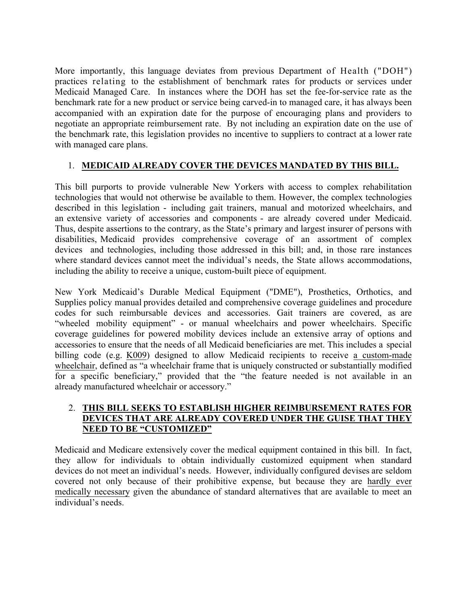More importantly, this language deviates from previous Department of Health ("DOH") practices relating to the establishment of benchmark rates for products or services under Medicaid Managed Care. In instances where the DOH has set the fee-for-service rate as the benchmark rate for a new product or service being carved-in to managed care, it has always been accompanied with an expiration date for the purpose of encouraging plans and providers to negotiate an appropriate reimbursement rate. By not including an expiration date on the use of the benchmark rate, this legislation provides no incentive to suppliers to contract at a lower rate with managed care plans.

## 1. **MEDICAID ALREADY COVER THE DEVICES MANDATED BY THIS BILL.**

This bill purports to provide vulnerable New Yorkers with access to complex rehabilitation technologies that would not otherwise be available to them. However, the complex technologies described in this legislation - including gait trainers, manual and motorized wheelchairs, and an extensive variety of accessories and components - are already covered under Medicaid. Thus, despite assertions to the contrary, as the State's primary and largest insurer of persons with disabilities, Medicaid provides comprehensive coverage of an assortment of complex devices and technologies, including those addressed in this bill; and, in those rare instances where standard devices cannot meet the individual's needs, the State allows accommodations, including the ability to receive a unique, custom-built piece of equipment.

New York Medicaid's Durable Medical Equipment ("DME"), Prosthetics, Orthotics, and Supplies policy manual provides detailed and comprehensive coverage guidelines and procedure codes for such reimbursable devices and accessories. Gait trainers are covered, as are "wheeled mobility equipment" - or manual wheelchairs and power wheelchairs. Specific coverage guidelines for powered mobility devices include an extensive array of options and accessories to ensure that the needs of all Medicaid beneficiaries are met. This includes a special billing code (e.g. K009) designed to allow Medicaid recipients to receive a custom-made wheelchair, defined as "a wheelchair frame that is uniquely constructed or substantially modified for a specific beneficiary," provided that the "the feature needed is not available in an already manufactured wheelchair or accessory."

## 2. **THIS BILL SEEKS TO ESTABLISH HIGHER REIMBURSEMENT RATES FOR DEVICES THAT ARE ALREADY COVERED UNDER THE GUISE THAT THEY NEED TO BE "CUSTOMIZED"**

Medicaid and Medicare extensively cover the medical equipment contained in this bill. In fact, they allow for individuals to obtain individually customized equipment when standard devices do not meet an individual's needs. However, individually configured devises are seldom covered not only because of their prohibitive expense, but because they are hardly ever medically necessary given the abundance of standard alternatives that are available to meet an individual's needs.